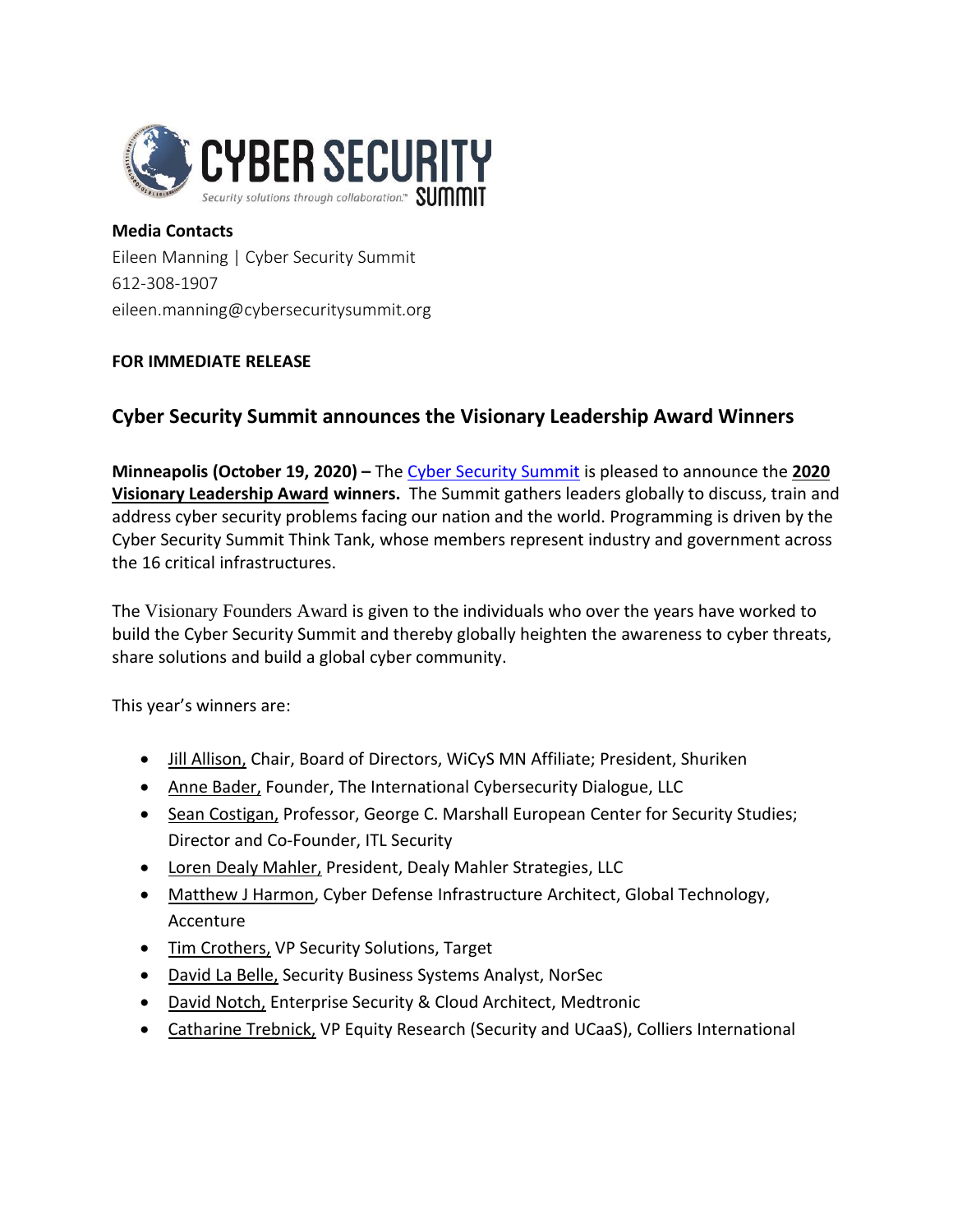

**Media Contacts** Eileen Manning | Cyber Security Summit 612-308-1907 eileen.manning@cybersecuritysummit.org

## **FOR IMMEDIATE RELEASE**

## **Cyber Security Summit announces the Visionary Leadership Award Winners**

**Minneapolis (October 19, 2020) –** The Cyber [Security](https://www.cybersecuritysummit.org/) Summit is pleased to announce the **[2020](https://www.cybersecuritysummit.org/visionary-leadership-awards/) Visionary [Leadership](https://www.cybersecuritysummit.org/visionary-leadership-awards/) Award winners.** The Summit gathers leaders globally to discuss, train and address cyber security problems facing our nation and the world. Programming is driven by the Cyber Security Summit Think Tank, whose members represent industry and government across the 16 critical infrastructures.

The [Visionary](https://www.cybersecuritysummit.org/visionary-leadership-awards/) Founders Award is given to the individuals who over the years have worked to build the Cyber Security Summit and thereby globally heighten the awareness to cyber threats, share solutions and build a global cyber community.

This year's winners are:

- Jill [Allison,](https://events.bizzabo.com/220749/agenda/speakers/686289) Chair, Board of Directors, WiCyS MN Affiliate; President, Shuriken
- Anne [Bader,](https://events.bizzabo.com/220749/agenda/speakers/632071) Founder, The International Cybersecurity Dialogue, LLC
- Sean [Costigan,](https://events.bizzabo.com/220749/agenda/speakers/632042) Professor, George C. Marshall European Center for Security Studies; Director and Co-Founder, ITL Security
- Loren Dealy [Mahler,](https://events.bizzabo.com/220749/agenda/speakers/632069) President, Dealy Mahler Strategies, LLC
- Matthew J Harmon, Cyber Defense Infrastructure Architect, Global Technology, Accenture
- Tim [Crothers,](https://events.bizzabo.com/220749/agenda/speakers/611853) VP Security Solutions, Target
- [David](https://events.bizzabo.com/220749/agenda/speakers/632044) La Belle, Security Business Systems Analyst, NorSec
- David [Notch,](https://events.bizzabo.com/220749/agenda/speakers/632058) Enterprise Security & Cloud Architect, Medtronic
- [Catharine](https://events.bizzabo.com/220749/agenda/speakers/756848) Trebnick, VP Equity Research (Security and UCaaS), Colliers International